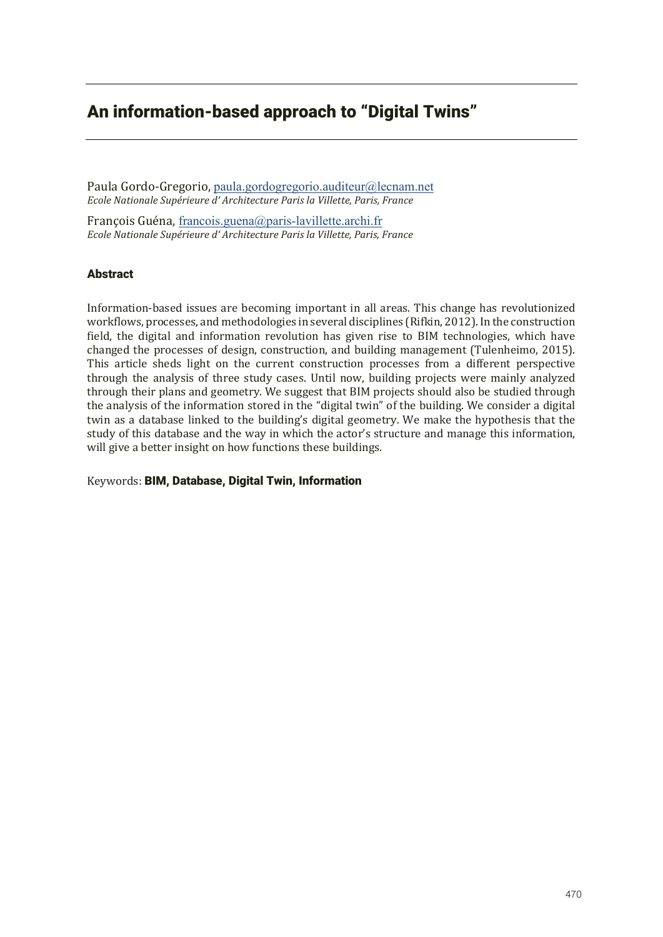# An information-based approach to "Digital Twins"

Paula Gordo-Gregorio, paula.gordogregorio.auditeur@lecnam.net *Ecle Nainale S±iee dǮ Achiece Pai la Villette, Paris, France*

François Guéna, francois.guena@paris-lavillette.archi.fr *Ecole Nationale Supérieure d'Architecture Paris la Villette, Paris, France* 

# Abstract

Information-based issues are becoming important in all areas. This change has revolutionized workflows, processes, and methodologies in several disciplines (Rifkin, 2012). In the construction field, the digital and information revolution has given rise to BIM technologies, which have changed the processes of design, construction, and building management (Tulenheimo, 2015). This article sheds light on the current construction processes from a different perspective through the analysis of three study cases. Until now, building projects were mainly analyzed through their plans and geometry. We suggest that BIM projects should also be studied through the analysis of the information stored in the "digital twin" of the building. We consider a digital twin as a database linked to the building's digital geometry. We make the hypothesis that the study of this database and the way in which the actor's structure and manage this information, will give a better insight on how functions these buildings.

Keywords: BIM, Database, Digital Twin, Information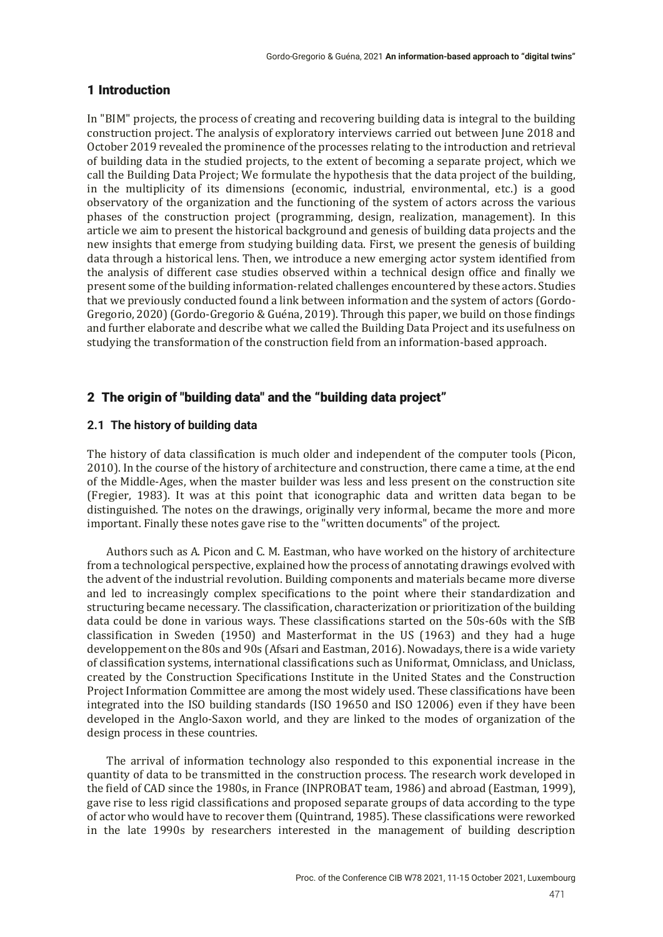## 1 Introduction

In "BIM" projects, the process of creating and recovering building data is integral to the building construction project. The analysis of exploratory interviews carried out between June 2018 and October 2019 revealed the prominence of the processes relating to the introduction and retrieval of building data in the studied projects, to the extent of becoming a separate project, which we call the Building Data Project; We formulate the hypothesis that the data project of the building, in the multiplicity of its dimensions (economic, industrial, environmental, etc.) is a good observatory of the organization and the functioning of the system of actors across the various phases of the construction project (programming, design, realization, management). In this article we aim to present the historical background and genesis of building data projects and the new insights that emerge from studying building data. First, we present the genesis of building data through a historical lens. Then, we introduce a new emerging actor system identified from the analysis of different case studies observed within a technical design office and finally we present some of the building information-related challenges encountered by these actors. Studies that we previously conducted found a link between information and the system of actors (Gordo-Gregorio, 2020) (Gordo-Gregorio & Guéna, 2019). Through this paper, we build on those findings and further elaborate and describe what we called the Building Data Project and its usefulness on studying the transformation of the construction field from an information-based approach.

# 2 The origin of "building data" and the "building data project"

## **2.1 The history of building data**

The history of data classification is much older and independent of the computer tools (Picon, 2010). In the course of the history of architecture and construction, there came a time, at the end of the Middle-Ages, when the master builder was less and less present on the construction site (Fregier, 1983). It was at this point that iconographic data and written data began to be distinguished. The notes on the drawings, originally very informal, became the more and more important. Finally these notes gave rise to the "written documents" of the project.

Authors such as A. Picon and C. M. Eastman, who have worked on the history of architecture from a technological perspective, explained how the process of annotating drawings evolved with the advent of the industrial revolution. Building components and materials became more diverse and led to increasingly complex specifications to the point where their standardization and structuring became necessary. The classification, characterization or prioritization of the building data could be done in various ways. These classifications started on the 50s-60s with the SfB classification in Sweden (1950) and Masterformat in the US (1963) and they had a huge developpement on the 80s and 90s (Afsari and Eastman, 2016). Nowadays, there is a wide variety of classification systems, international classifications such as Uniformat, Omniclass, and Uniclass, created by the Construction Specifications Institute in the United States and the Construction Project Information Committee are among the most widely used. These classifications have been integrated into the ISO building standards (ISO 19650 and ISO 12006) even if they have been developed in the Anglo-Saxon world, and they are linked to the modes of organization of the design process in these countries.

The arrival of information technology also responded to this exponential increase in the quantity of data to be transmitted in the construction process. The research work developed in the field of CAD since the 1980s, in France (INPROBAT team, 1986) and abroad (Eastman, 1999), gave rise to less rigid classifications and proposed separate groups of data according to the type of actor who would have to recover them (Quintrand, 1985). These classifications were reworked in the late 1990s by researchers interested in the management of building description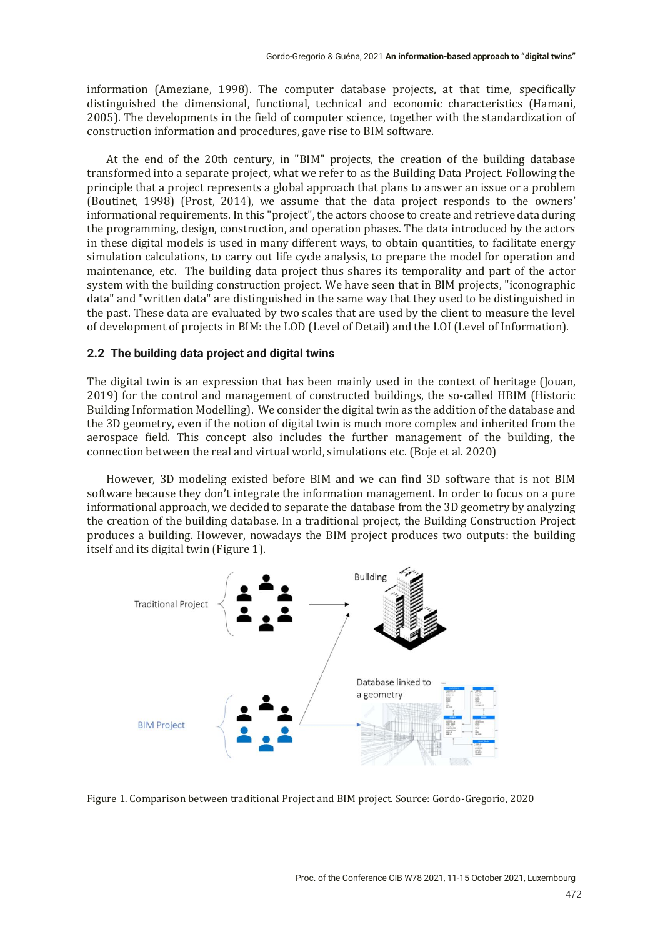information (Ameziane, 1998). The computer database projects, at that time, specifically distinguished the dimensional, functional, technical and economic characteristics (Hamani, 2005). The developments in the field of computer science, together with the standardization of construction information and procedures, gave rise to BIM software.

At the end of the 20th century, in "BIM" projects, the creation of the building database transformed into a separate project, what we refer to as the Building Data Project. Following the principle that a project represents a global approach that plans to answer an issue or a problem (Boutinet, 1998) (Prost, 2014), we assume that the data project responds to the owners' informational requirements. In this "project", the actors choose to create and retrieve data during the programming, design, construction, and operation phases. The data introduced by the actors in these digital models is used in many different ways, to obtain quantities, to facilitate energy simulation calculations, to carry out life cycle analysis, to prepare the model for operation and maintenance, etc. The building data project thus shares its temporality and part of the actor system with the building construction project. We have seen that in BIM projects, "iconographic data" and "written data" are distinguished in the same way that they used to be distinguished in the past. These data are evaluated by two scales that are used by the client to measure the level of development of projects in BIM: the LOD (Level of Detail) and the LOI (Level of Information).

#### **2.2 The building data project and digital twins**

The digital twin is an expression that has been mainly used in the context of heritage (Jouan, 2019) for the control and management of constructed buildings, the so-called HBIM (Historic Building Information Modelling). We consider the digital twin as the addition of the database and the 3D geometry, even if the notion of digital twin is much more complex and inherited from the aerospace field. This concept also includes the further management of the building, the connection between the real and virtual world, simulations etc. (Boje et al. 2020)

However, 3D modeling existed before BIM and we can find 3D software that is not BIM software because they don't integrate the information management. In order to focus on a pure informational approach, we decided to separate the database from the 3D geometry by analyzing the creation of the building database. In a traditional project, the Building Construction Project produces a building. However, nowadays the BIM project produces two outputs: the building itself and its digital twin (Figure 1).



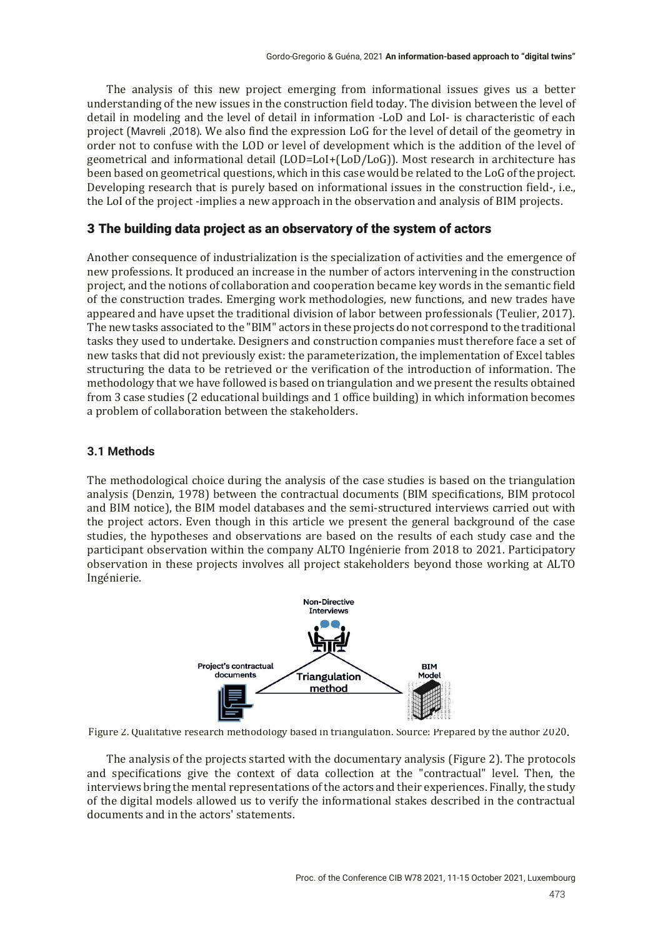The analysis of this new project emerging from informational issues gives us a better understanding of the new issues in the construction field today. The division between the level of detail in modeling and the level of detail in information -LoD and LoI- is characteristic of each project (MaYreli ,2018). We also find the expression LoG for the level of detail of the geometry in order not to confuse with the LOD or level of development which is the addition of the level of geometrical and informational detail (LOD=LoI+(LoD/LoG)). Most research in architecture has been based on geometrical questions, which in this case would be related to the LoG of the project. Developing research that is purely based on informational issues in the construction field-, i.e., the LoI of the project -implies a new approach in the observation and analysis of BIM projects.

# 3 The building data project as an observatory of the system of actors

Another consequence of industrialization is the specialization of activities and the emergence of new professions. It produced an increase in the number of actors intervening in the construction project, and the notions of collaboration and cooperation became key words in the semantic field of the construction trades. Emerging work methodologies, new functions, and new trades have appeared and have upset the traditional division of labor between professionals (Teulier, 2017). The new tasks associated to the "BIM" actors in these projects do not correspond to the traditional tasks they used to undertake. Designers and construction companies must therefore face a set of new tasks that did not previously exist: the parameterization, the implementation of Excel tables structuring the data to be retrieved or the verification of the introduction of information. The methodology that we have followed is based on triangulation and we present the results obtained from 3 case studies (2 educational buildings and 1 office building) in which information becomes a problem of collaboration between the stakeholders.

## **3.1 Methods**

The methodological choice during the analysis of the case studies is based on the triangulation analysis (Denzin, 1978) between the contractual documents (BIM specifications, BIM protocol and BIM notice), the BIM model databases and the semi-structured interviews carried out with the project actors. Even though in this article we present the general background of the case studies, the hypotheses and observations are based on the results of each study case and the participant observation within the company ALTO Ingénierie from 2018 to 2021. Participatory observation in these projects involves all project stakeholders beyond those working at ALTO Ingénierie.



Figure 2. Qualitative research methodology based in triangulation. Source: Prepared by the author 2020.

The analysis of the projects started with the documentary analysis (Figure 2). The protocols and specifications give the context of data collection at the "contractual" level. Then, the interviews bring the mental representations of the actors and their experiences. Finally, the study of the digital models allowed us to verify the informational stakes described in the contractual documents and in the actors' statements.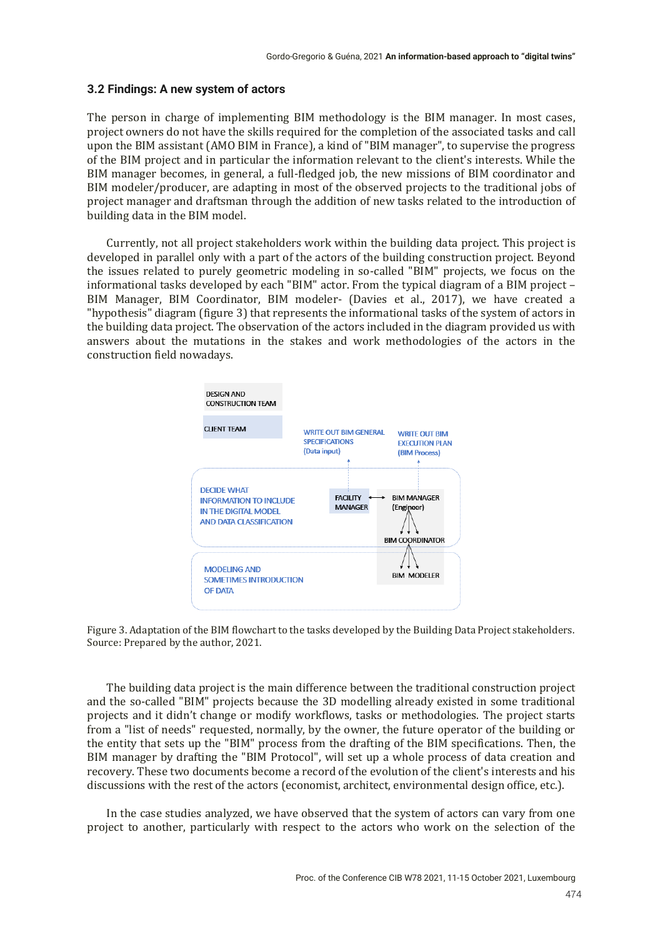#### **3.2 Findings: A new system of actors**

The person in charge of implementing BIM methodology is the BIM manager. In most cases, project owners do not have the skills required for the completion of the associated tasks and call upon the BIM assistant (AMO BIM in France), a kind of "BIM manager", to supervise the progress of the BIM project and in particular the information relevant to the client's interests. While the BIM manager becomes, in general, a full-fledged job, the new missions of BIM coordinator and BIM modeler/producer, are adapting in most of the observed projects to the traditional jobs of project manager and draftsman through the addition of new tasks related to the introduction of building data in the BIM model.

Currently, not all project stakeholders work within the building data project. This project is developed in parallel only with a part of the actors of the building construction project. Beyond the issues related to purely geometric modeling in so-called "BIM" projects, we focus on the informational tasks developed by each "BIM" actor. From the typical diagram of a BIM project – BIM Manager, BIM Coordinator, BIM modeler- (Davies et al., 2017), we have created a "hypothesis" diagram (figure 3) that represents the informational tasks of the system of actors in the building data project. The observation of the actors included in the diagram provided us with answers about the mutations in the stakes and work methodologies of the actors in the construction field nowadays.



Figure 3. Adaptation of the BIM flowchart to the tasks developed by the Building Data Project stakeholders. Source: Prepared by the author, 2021.

The building data project is the main difference between the traditional construction project and the so-called "BIM" projects because the 3D modelling already existed in some traditional projects and it didn't change or modify workflows, tasks or methodologies. The project starts from a "list of needs" requested, normally, by the owner, the future operator of the building or the entity that sets up the "BIM" process from the drafting of the BIM specifications. Then, the BIM manager by drafting the "BIM Protocol", will set up a whole process of data creation and recovery. These two documents become a record of the evolution of the client's interests and his discussions with the rest of the actors (economist, architect, environmental design office, etc.).

In the case studies analyzed, we have observed that the system of actors can vary from one project to another, particularly with respect to the actors who work on the selection of the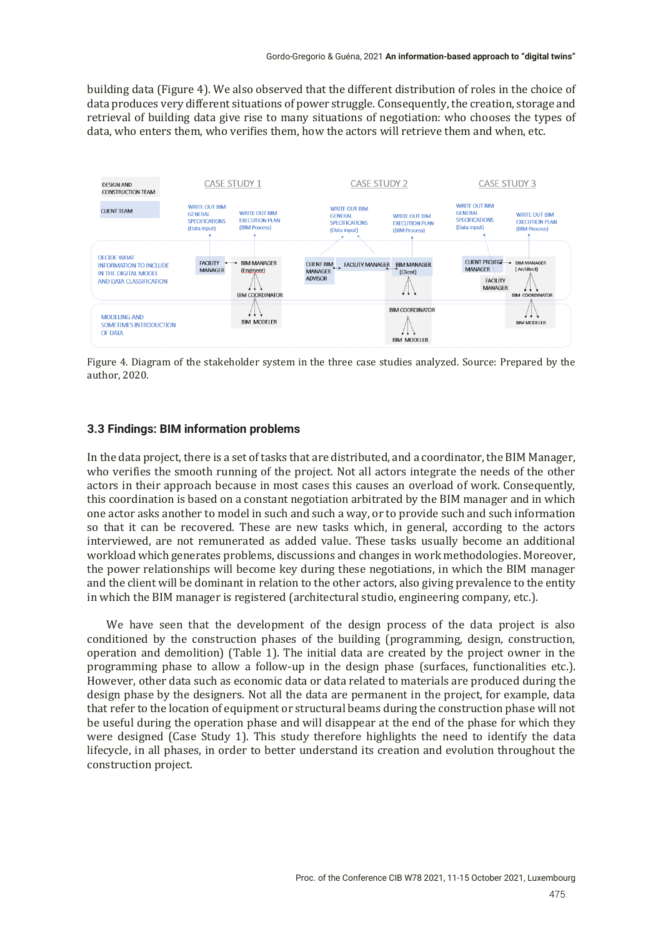building data (Figure 4). We also observed that the different distribution of roles in the choice of data produces very different situations of power struggle. Consequently, the creation, storage and retrieval of building data give rise to many situations of negotiation: who chooses the types of data, who enters them, who verifies them, how the actors will retrieve them and when, etc.



Figure 4. Diagram of the stakeholder system in the three case studies analyzed. Source: Prepared by the author, 2020.

#### **3.3 Findings: BIM information problems**

In the data project, there is a set of tasks that are distributed, and a coordinator, the BIM Manager, who verifies the smooth running of the project. Not all actors integrate the needs of the other actors in their approach because in most cases this causes an overload of work. Consequently, this coordination is based on a constant negotiation arbitrated by the BIM manager and in which one actor asks another to model in such and such a way, or to provide such and such information so that it can be recovered. These are new tasks which, in general, according to the actors interviewed, are not remunerated as added value. These tasks usually become an additional workload which generates problems, discussions and changes in work methodologies. Moreover, the power relationships will become key during these negotiations, in which the BIM manager and the client will be dominant in relation to the other actors, also giving prevalence to the entity in which the BIM manager is registered (architectural studio, engineering company, etc.).

We have seen that the development of the design process of the data project is also conditioned by the construction phases of the building (programming, design, construction, operation and demolition) (Table 1). The initial data are created by the project owner in the programming phase to allow a follow-up in the design phase (surfaces, functionalities etc.). However, other data such as economic data or data related to materials are produced during the design phase by the designers. Not all the data are permanent in the project, for example, data that refer to the location of equipment or structural beams during the construction phase will not be useful during the operation phase and will disappear at the end of the phase for which they were designed (Case Study 1). This study therefore highlights the need to identify the data lifecycle, in all phases, in order to better understand its creation and evolution throughout the construction project.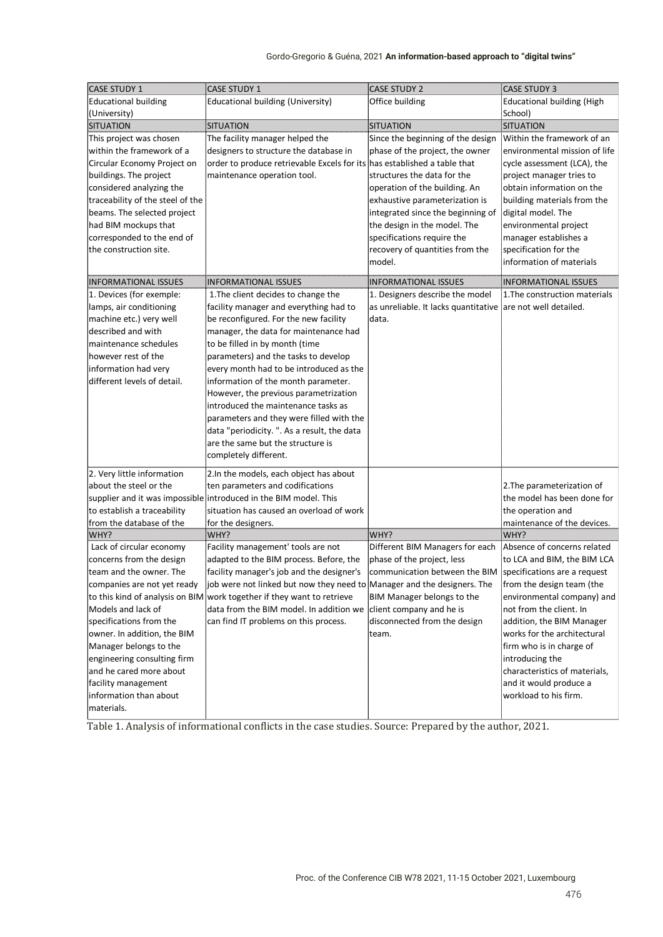#### Gordo-Gregorio & Guéna, 2021 An information-based approach to "digital twins"

| <b>CASE STUDY 1</b>                                     | <b>CASE STUDY 1</b>                                                      | <b>CASE STUDY 2</b>                                            | <b>CASE STUDY 3</b>                                          |
|---------------------------------------------------------|--------------------------------------------------------------------------|----------------------------------------------------------------|--------------------------------------------------------------|
| <b>Educational building</b>                             | Educational building (University)                                        | Office building                                                | <b>Educational building (High</b>                            |
| (University)                                            |                                                                          |                                                                | School)                                                      |
| <b>SITUATION</b>                                        | <b>SITUATION</b>                                                         | SITUATION                                                      | <b>SITUATION</b>                                             |
| This project was chosen                                 | The facility manager helped the                                          | Since the beginning of the design                              | Within the framework of an                                   |
| within the framework of a                               | designers to structure the database in                                   | phase of the project, the owner                                | environmental mission of life                                |
| Circular Economy Project on                             | order to produce retrievable Excels for its has established a table that |                                                                | cycle assessment (LCA), the                                  |
| buildings. The project                                  | maintenance operation tool.                                              | structures the data for the                                    | project manager tries to                                     |
| considered analyzing the                                |                                                                          | operation of the building. An                                  | obtain information on the                                    |
| traceability of the steel of the                        |                                                                          | exhaustive parameterization is                                 | building materials from the                                  |
| beams. The selected project                             |                                                                          | integrated since the beginning of                              | digital model. The                                           |
| had BIM mockups that                                    |                                                                          | the design in the model. The                                   | environmental project                                        |
| corresponded to the end of                              |                                                                          | specifications require the                                     | manager establishes a                                        |
| the construction site.                                  |                                                                          | recovery of quantities from the                                | specification for the                                        |
|                                                         |                                                                          | model.                                                         | information of materials                                     |
|                                                         |                                                                          |                                                                |                                                              |
| <b>INFORMATIONAL ISSUES</b><br>1. Devices (for exemple: | <b>INFORMATIONAL ISSUES</b><br>1. The client decides to change the       | <b>INFORMATIONAL ISSUES</b><br>1. Designers describe the model | <b>INFORMATIONAL ISSUES</b><br>1. The construction materials |
| lamps, air conditioning                                 | facility manager and everything had to                                   | as unreliable. It lacks quantitative are not well detailed.    |                                                              |
| machine etc.) very well                                 | be reconfigured. For the new facility                                    | data.                                                          |                                                              |
| described and with                                      | manager, the data for maintenance had                                    |                                                                |                                                              |
| maintenance schedules                                   | to be filled in by month (time                                           |                                                                |                                                              |
| however rest of the                                     | parameters) and the tasks to develop                                     |                                                                |                                                              |
| information had very                                    | every month had to be introduced as the                                  |                                                                |                                                              |
| different levels of detail.                             | information of the month parameter.                                      |                                                                |                                                              |
|                                                         | However, the previous parametrization                                    |                                                                |                                                              |
|                                                         | introduced the maintenance tasks as                                      |                                                                |                                                              |
|                                                         | parameters and they were filled with the                                 |                                                                |                                                              |
|                                                         | data "periodicity. ". As a result, the data                              |                                                                |                                                              |
|                                                         | are the same but the structure is                                        |                                                                |                                                              |
|                                                         | completely different.                                                    |                                                                |                                                              |
| 2. Very little information                              | 2.In the models, each object has about                                   |                                                                |                                                              |
| about the steel or the                                  | ten parameters and codifications                                         |                                                                | 2. The parameterization of                                   |
|                                                         | supplier and it was impossible introduced in the BIM model. This         |                                                                | the model has been done for                                  |
| to establish a traceability                             | situation has caused an overload of work                                 |                                                                | the operation and                                            |
| from the database of the                                | for the designers.                                                       |                                                                | maintenance of the devices.                                  |
| WHY?                                                    | WHY?                                                                     | WHY?                                                           | WHY?                                                         |
| Lack of circular economy                                | Facility management' tools are not                                       | Different BIM Managers for each                                | Absence of concerns related                                  |
| concerns from the design                                | adapted to the BIM process. Before, the                                  | phase of the project, less                                     | to LCA and BIM, the BIM LCA                                  |
| team and the owner. The                                 | facility manager's job and the designer's                                | communication between the BIM                                  | specifications are a request                                 |
| companies are not yet ready                             | job were not linked but now they need to Manager and the designers. The  |                                                                | from the design team (the                                    |
|                                                         | to this kind of analysis on BIM work together if they want to retrieve   | BIM Manager belongs to the                                     | environmental company) and                                   |
| Models and lack of                                      | data from the BIM model. In addition we                                  | client company and he is                                       | not from the client. In                                      |
| specifications from the                                 | can find IT problems on this process.                                    | disconnected from the design                                   | addition, the BIM Manager                                    |
| owner. In addition, the BIM                             |                                                                          | team.                                                          | works for the architectural                                  |
| Manager belongs to the                                  |                                                                          |                                                                | firm who is in charge of                                     |
| engineering consulting firm                             |                                                                          |                                                                | introducing the                                              |
| and he cared more about                                 |                                                                          |                                                                | characteristics of materials,                                |
| facility management                                     |                                                                          |                                                                | and it would produce a                                       |
| information than about                                  |                                                                          |                                                                | workload to his firm.                                        |
| materials.                                              |                                                                          |                                                                |                                                              |

Table 1. Analysis of informational conflicts in the case studies. Source: Prepared by the author, 2021.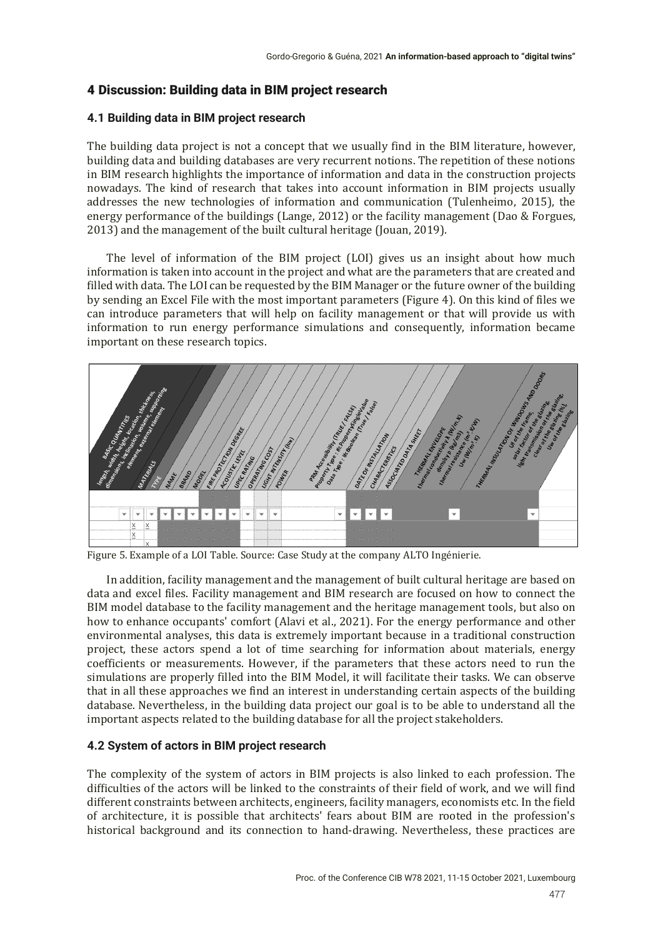# 4 Discussion: Building data in BIM project research

### **4.1 Building data in BIM project research**

The building data project is not a concept that we usually find in the BIM literature, however, building data and building databases are very recurrent notions. The repetition of these notions in BIM research highlights the importance of information and data in the construction projects nowadays. The kind of research that takes into account information in BIM projects usually addresses the new technologies of information and communication (Tulenheimo, 2015), the energy performance of the buildings (Lange, 2012) or the facility management (Dao & Forgues, 2013) and the management of the built cultural heritage (Jouan, 2019).

The level of information of the BIM project (LOI) gives us an insight about how much information is taken into account in the project and what are the parameters that are created and filled with data. The LOI can be requested by the BIM Manager or the future owner of the building by sending an Excel File with the most important parameters (Figure 4). On this kind of files we can introduce parameters that will help on facility management or that will provide us with information to run energy performance simulations and consequently, information became important on these research topics.



Figure 5. Example of a LOI Table. Source: Case Study at the company ALTO Ingénierie.

In addition, facility management and the management of built cultural heritage are based on data and excel files. Facility management and BIM research are focused on how to connect the BIM model database to the facility management and the heritage management tools, but also on how to enhance occupants' comfort (Alavi et al., 2021). For the energy performance and other environmental analyses, this data is extremely important because in a traditional construction project, these actors spend a lot of time searching for information about materials, energy coefficients or measurements. However, if the parameters that these actors need to run the simulations are properly filled into the BIM Model, it will facilitate their tasks. We can observe that in all these approaches we find an interest in understanding certain aspects of the building database. Nevertheless, in the building data project our goal is to be able to understand all the important aspects related to the building database for all the project stakeholders.

## **4.2 System of actors in BIM project research**

The complexity of the system of actors in BIM projects is also linked to each profession. The difficulties of the actors will be linked to the constraints of their field of work, and we will find different constraints between architects, engineers, facility managers, economists etc. In the field of architecture, it is possible that architects' fears about BIM are rooted in the profession's historical background and its connection to hand-drawing. Nevertheless, these practices are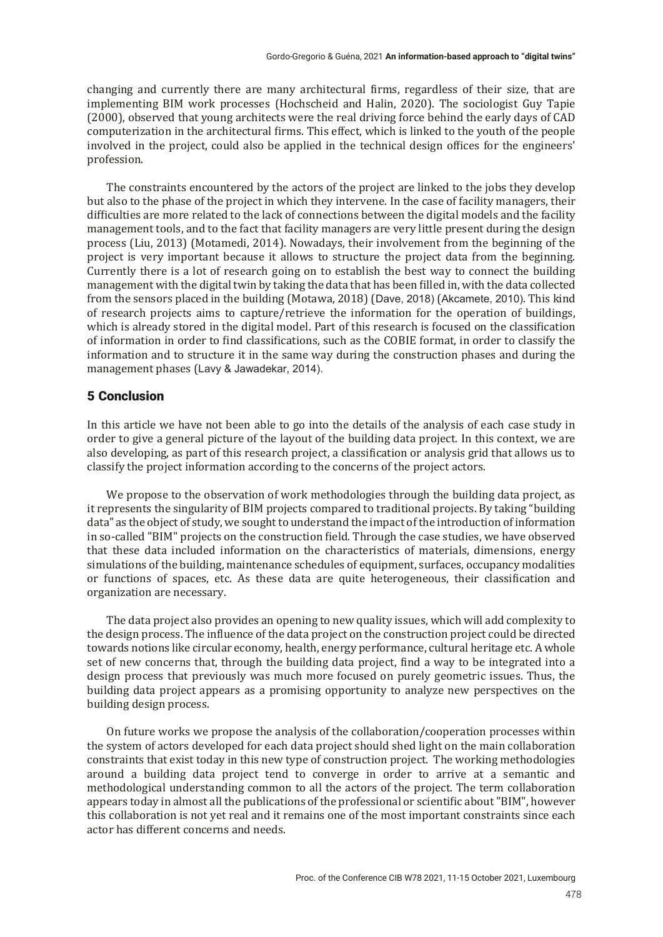changing and currently there are many architectural firms, regardless of their size, that are implementing BIM work processes (Hochscheid and Halin, 2020). The sociologist Guy Tapie (2000), observed that young architects were the real driving force behind the early days of CAD computerization in the architectural firms. This effect, which is linked to the youth of the people involved in the project, could also be applied in the technical design offices for the engineers' profession.

The constraints encountered by the actors of the project are linked to the jobs they develop but also to the phase of the project in which they intervene. In the case of facility managers, their difficulties are more related to the lack of connections between the digital models and the facility management tools, and to the fact that facility managers are very little present during the design process (Liu, 2013) (Motamedi, 2014). Nowadays, their involvement from the beginning of the project is very important because it allows to structure the project data from the beginning. Currently there is a lot of research going on to establish the best way to connect the building management with the digital twin by taking the data that has been filled in, with the data collected from the sensors placed in the building (Motawa, 2018) (Dave, 2018) (Akcamete, 2010). This kind of research projects aims to capture/retrieve the information for the operation of buildings, which is already stored in the digital model. Part of this research is focused on the classification of information in order to find classifications, such as the COBIE format, in order to classify the information and to structure it in the same way during the construction phases and during the management phases (Lavy & Jawadekar, 2014).

## 5 Conclusion

In this article we have not been able to go into the details of the analysis of each case study in order to give a general picture of the layout of the building data project. In this context, we are also developing, as part of this research project, a classification or analysis grid that allows us to classify the project information according to the concerns of the project actors.

We propose to the observation of work methodologies through the building data project, as it represents the singularity of BIM projects compared to traditional projects. By taking "building data" as the object of study, we sought to understand the impact of the introduction of information in so-called "BIM" projects on the construction field. Through the case studies, we have observed that these data included information on the characteristics of materials, dimensions, energy simulations of the building, maintenance schedules of equipment, surfaces, occupancy modalities or functions of spaces, etc. As these data are quite heterogeneous, their classification and organization are necessary.

The data project also provides an opening to new quality issues, which will add complexity to the design process. The influence of the data project on the construction project could be directed towards notions like circular economy, health, energy performance, cultural heritage etc. A whole set of new concerns that, through the building data project, find a way to be integrated into a design process that previously was much more focused on purely geometric issues. Thus, the building data project appears as a promising opportunity to analyze new perspectives on the building design process.

On future works we propose the analysis of the collaboration/cooperation processes within the system of actors developed for each data project should shed light on the main collaboration constraints that exist today in this new type of construction project. The working methodologies around a building data project tend to converge in order to arrive at a semantic and methodological understanding common to all the actors of the project. The term collaboration appears today in almost all the publications of the professional or scientific about "BIM", however this collaboration is not yet real and it remains one of the most important constraints since each actor has different concerns and needs.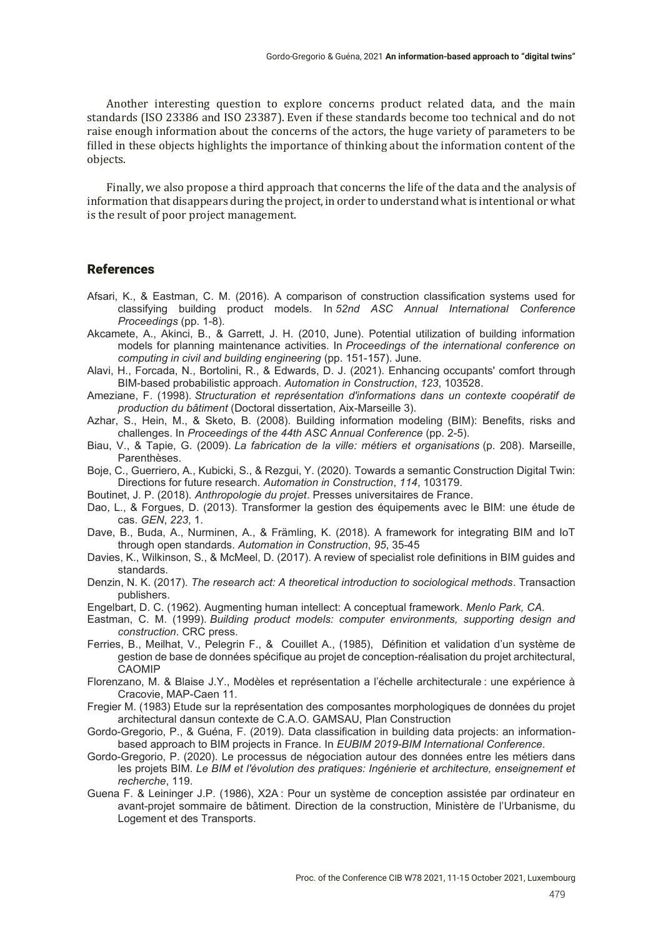Another interesting question to explore concerns product related data, and the main standards (ISO 23386 and ISO 23387). Even if these standards become too technical and do not raise enough information about the concerns of the actors, the huge variety of parameters to be filled in these objects highlights the importance of thinking about the information content of the objects.

Finally, we also propose a third approach that concerns the life of the data and the analysis of information that disappears during the project, in order to understand what is intentional or what is the result of poor project management.

#### References

- Afsari, K., & Eastman, C. M. (2016). A comparison of construction classification systems used for classifying building product models. In 52nd ASC Annual International Conference *Proceedings* (pp. 1-8).
- Akcamete, A., Akinci, B., & Garrett, J. H. (2010, June). Potential utilization of building information models for planning maintenance activities. In *Proceedings of the international conference on computing in civil and building engineering* (pp. 151-157). June.
- Alavi, H., Forcada, N., Bortolini, R., & Edwards, D. J. (2021). Enhancing occupants' comfort through BIM-based probabilistic approach. *Automation in Construction*, *123*, 103528.
- Ameziane, F. (1998). *Structuration et représentation d'informations dans un contexte coopératif de production du bâtiment* (Doctoral dissertation, Aix-Marseille 3).
- Azhar, S., Hein, M., & Sketo, B. (2008). Building information modeling (BIM): Benefits, risks and challenges. In *Proceedings of the 44th ASC Annual Conference* (pp. 2-5).
- Biau, V., & Tapie, G. (2009). *La fabrication de la ville: métiers et organisations* (p. 208). Marseille, Parenthèses.
- Boje, C., Guerriero, A., Kubicki, S., & Rezgui, Y. (2020). Towards a semantic Construction Digital Twin: Directions for future research. Automation in Construction, 114, 103179.
- Boutinet, J. P. (2018). *Anthropologie du projet*. Presses universitaires de France.
- Dao, L., & Forgues, D. (2013). Transformer la gestion des équipements avec le BIM: une étude de cas. *GEN*, *223*, 1.
- Dave, B., Buda, A., Nurminen, A., & Främling, K. (2018). A framework for integrating BIM and IoT through open standards. Automation in Construction, 95, 35-45
- Davies, K., Wilkinson, S., & McMeel, D. (2017). A review of specialist role definitions in BIM guides and standards.
- Denzin, N. K. (2017). *The research act: A theoretical introduction to sociological methods*. Transaction publishers.
- Engelbart, D. C. (1962). Augmenting human intellect: A conceptual framework. *Menlo Park, CA.*
- Eastman, C. M. (1999). *Building product models: computer environments, supporting design and construction*. CRC press.
- Ferries, B., Meilhat, V., Pelegrin F., & Couillet A., (1985), Définition et validation d'un système de gestion de base de données spécifique au projet de conception-réalisation du projet architectural, CAOMIP
- Florenzano, M. & Blaise J.Y., Modèles et représentation a l'échelle architecturale : une expérience à Cracovie, MAP-Caen 11.
- Fregier M. (1983) Etude sur la représentation des composantes morphologiques de données du projet architectural dansun contexte de C.A.O. GAMSAU, Plan Construction
- Gordo-Gregorio, P., & Guéna, F. (2019). Data classification in building data projects: an informationbased approach to BIM projects in France. In *EUBIM 2019-BIM International Conference*.
- Gordo-Gregorio, P. (2020). Le processus de négociation autour des données entre les métiers dans les projets BIM. *Le BIM et l'évolution des pratiques: Ingénierie et architecture, enseignement et recherche*, 119.
- Guena F. & Leininger J.P. (1986), X2A: Pour un système de conception assistée par ordinateur en avant-projet sommaire de bâtiment. Direction de la construction, Ministère de l'Urbanisme, du Logement et des Transports.